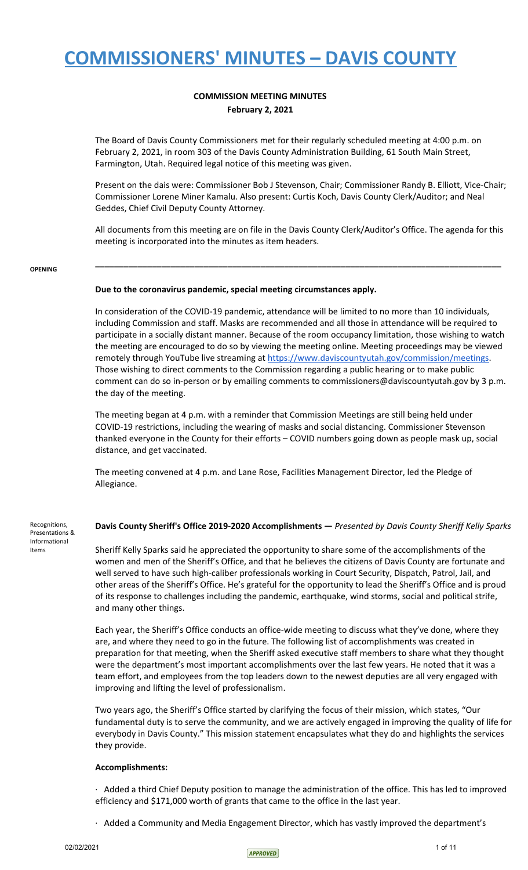## **COMMISSION MEETING MINUTES February 2, 2021**

The Board of Davis County Commissioners met for their regularly scheduled meeting at 4:00 p.m. on February 2, 2021, in room 303 of the Davis County Administration Building, 61 South Main Street, Farmington, Utah. Required legal notice of this meeting was given.

Present on the dais were: Commissioner Bob J Stevenson, Chair; Commissioner Randy B. Elliott, Vice-Chair; Commissioner Lorene Miner Kamalu. Also present: Curtis Koch, Davis County Clerk/Auditor; and Neal Geddes, Chief Civil Deputy County Attorney.

All documents from this meeting are on file in the Davis County Clerk/Auditor's Office. The agenda for this meeting is incorporated into the minutes as item headers.

**\_\_\_\_\_\_\_\_\_\_\_\_\_\_\_\_\_\_\_\_\_\_\_\_\_\_\_\_\_\_\_\_\_\_\_\_\_\_\_\_\_\_\_\_\_\_\_\_\_\_\_\_\_\_\_\_\_\_\_\_\_\_\_\_\_\_\_\_\_\_\_\_\_\_\_\_\_\_\_\_\_\_\_\_\_\_**

### **OPENING**

Informational Items

### **Due to the coronavirus pandemic, special meeting circumstances apply.**

In consideration of the COVID-19 pandemic, attendance will be limited to no more than 10 individuals, including Commission and staff. Masks are recommended and all those in attendance will be required to participate in a socially distant manner. Because of the room occupancy limitation, those wishing to watch the meeting are encouraged to do so by viewing the meeting online. Meeting proceedings may be viewed remotely through YouTube live streaming at [https://www.daviscountyutah.gov/commission/meetings.](https://www.daviscountyutah.gov/commission/meetings) Those wishing to direct comments to the Commission regarding a public hearing or to make public comment can do so in-person or by emailing comments to commissioners@daviscountyutah.gov by 3 p.m. the day of the meeting.

The meeting began at 4 p.m. with a reminder that Commission Meetings are still being held under COVID-19 restrictions, including the wearing of masks and social distancing. Commissioner Stevenson thanked everyone in the County for their efforts – COVID numbers going down as people mask up, social distance, and get vaccinated.

The meeting convened at 4 p.m. and Lane Rose, Facilities Management Director, led the Pledge of Allegiance.

Recognitions, Presentations & **Davis County Sheriff's Office 2019-2020 Accomplishments —** *Presented by Davis County Sheriff Kelly Sparks*

> Sheriff Kelly Sparks said he appreciated the opportunity to share some of the accomplishments of the women and men of the Sheriff's Office, and that he believes the citizens of Davis County are fortunate and well served to have such high-caliber professionals working in Court Security, Dispatch, Patrol, Jail, and other areas of the Sheriff's Office. He's grateful for the opportunity to lead the Sheriff's Office and is proud of its response to challenges including the pandemic, earthquake, wind storms, social and political strife, and many other things.

> Each year, the Sheriff's Office conducts an office-wide meeting to discuss what they've done, where they are, and where they need to go in the future. The following list of accomplishments was created in preparation for that meeting, when the Sheriff asked executive staff members to share what they thought were the department's most important accomplishments over the last few years. He noted that it was a team effort, and employees from the top leaders down to the newest deputies are all very engaged with improving and lifting the level of professionalism.

Two years ago, the Sheriff's Office started by clarifying the focus of their mission, which states, "Our fundamental duty is to serve the community, and we are actively engaged in improving the quality of life for everybody in Davis County." This mission statement encapsulates what they do and highlights the services they provide.

### **Accomplishments:**

· Added a third Chief Deputy position to manage the administration of the office. This has led to improved efficiency and \$171,000 worth of grants that came to the office in the last year.

· Added a Community and Media Engagement Director, which has vastly improved the department's

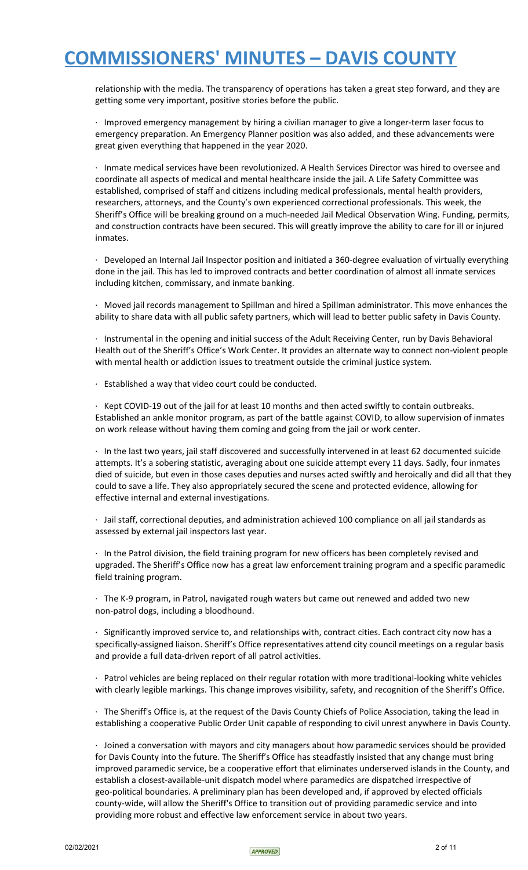relationship with the media. The transparency of operations has taken a great step forward, and they are getting some very important, positive stories before the public.

· Improved emergency management by hiring a civilian manager to give a longer-term laser focus to emergency preparation. An Emergency Planner position was also added, and these advancements were great given everything that happened in the year 2020.

· Inmate medical services have been revolutionized. A Health Services Director was hired to oversee and coordinate all aspects of medical and mental healthcare inside the jail. A Life Safety Committee was established, comprised of staff and citizens including medical professionals, mental health providers, researchers, attorneys, and the County's own experienced correctional professionals. This week, the Sheriff's Office will be breaking ground on a much-needed Jail Medical Observation Wing. Funding, permits, and construction contracts have been secured. This will greatly improve the ability to care for ill or injured inmates.

· Developed an Internal Jail Inspector position and initiated a 360-degree evaluation of virtually everything done in the jail. This has led to improved contracts and better coordination of almost all inmate services including kitchen, commissary, and inmate banking.

· Moved jail records management to Spillman and hired a Spillman administrator. This move enhances the ability to share data with all public safety partners, which will lead to better public safety in Davis County.

· Instrumental in the opening and initial success of the Adult Receiving Center, run by Davis Behavioral Health out of the Sheriff's Office's Work Center. It provides an alternate way to connect non-violent people with mental health or addiction issues to treatment outside the criminal justice system.

· Established a way that video court could be conducted.

· Kept COVID-19 out of the jail for at least 10 months and then acted swiftly to contain outbreaks. Established an ankle monitor program, as part of the battle against COVID, to allow supervision of inmates on work release without having them coming and going from the jail or work center.

· In the last two years, jail staff discovered and successfully intervened in at least 62 documented suicide attempts. It's a sobering statistic, averaging about one suicide attempt every 11 days. Sadly, four inmates died of suicide, but even in those cases deputies and nurses acted swiftly and heroically and did all that they could to save a life. They also appropriately secured the scene and protected evidence, allowing for effective internal and external investigations.

· Jail staff, correctional deputies, and administration achieved 100 compliance on all jail standards as assessed by external jail inspectors last year.

· In the Patrol division, the field training program for new officers has been completely revised and upgraded. The Sheriff's Office now has a great law enforcement training program and a specific paramedic field training program.

· The K-9 program, in Patrol, navigated rough waters but came out renewed and added two new non-patrol dogs, including a bloodhound.

· Significantly improved service to, and relationships with, contract cities. Each contract city now has a specifically-assigned liaison. Sheriff's Office representatives attend city council meetings on a regular basis and provide a full data-driven report of all patrol activities.

· Patrol vehicles are being replaced on their regular rotation with more traditional-looking white vehicles with clearly legible markings. This change improves visibility, safety, and recognition of the Sheriff's Office.

· The Sheriff's Office is, at the request of the Davis County Chiefs of Police Association, taking the lead in establishing a cooperative Public Order Unit capable of responding to civil unrest anywhere in Davis County.

· Joined a conversation with mayors and city managers about how paramedic services should be provided for Davis County into the future. The Sheriff's Office has steadfastly insisted that any change must bring improved paramedic service, be a cooperative effort that eliminates underserved islands in the County, and establish a closest-available-unit dispatch model where paramedics are dispatched irrespective of geo-political boundaries. A preliminary plan has been developed and, if approved by elected officials county-wide, will allow the Sheriff's Office to transition out of providing paramedic service and into providing more robust and effective law enforcement service in about two years.

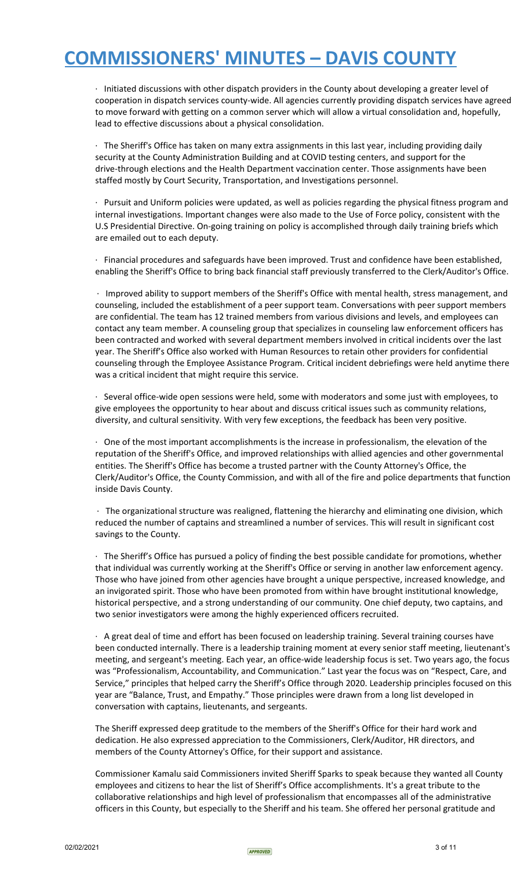· Initiated discussions with other dispatch providers in the County about developing a greater level of cooperation in dispatch services county-wide. All agencies currently providing dispatch services have agreed to move forward with getting on a common server which will allow a virtual consolidation and, hopefully, lead to effective discussions about a physical consolidation.

· The Sheriff's Office has taken on many extra assignments in this last year, including providing daily security at the County Administration Building and at COVID testing centers, and support for the drive-through elections and the Health Department vaccination center. Those assignments have been staffed mostly by Court Security, Transportation, and Investigations personnel.

· Pursuit and Uniform policies were updated, as well as policies regarding the physical fitness program and internal investigations. Important changes were also made to the Use of Force policy, consistent with the U.S Presidential Directive. On-going training on policy is accomplished through daily training briefs which are emailed out to each deputy.

· Financial procedures and safeguards have been improved. Trust and confidence have been established, enabling the Sheriff's Office to bring back financial staff previously transferred to the Clerk/Auditor's Office.

· Improved ability to support members of the Sheriff's Office with mental health, stress management, and counseling, included the establishment of a peer support team. Conversations with peer support members are confidential. The team has 12 trained members from various divisions and levels, and employees can contact any team member. A counseling group that specializes in counseling law enforcement officers has been contracted and worked with several department members involved in critical incidents over the last year. The Sheriff's Office also worked with Human Resources to retain other providers for confidential counseling through the Employee Assistance Program. Critical incident debriefings were held anytime there was a critical incident that might require this service.

· Several office-wide open sessions were held, some with moderators and some just with employees, to give employees the opportunity to hear about and discuss critical issues such as community relations, diversity, and cultural sensitivity. With very few exceptions, the feedback has been very positive.

· One of the most important accomplishments is the increase in professionalism, the elevation of the reputation of the Sheriff's Office, and improved relationships with allied agencies and other governmental entities. The Sheriff's Office has become a trusted partner with the County Attorney's Office, the Clerk/Auditor's Office, the County Commission, and with all of the fire and police departments that function inside Davis County.

· The organizational structure was realigned, flattening the hierarchy and eliminating one division, which reduced the number of captains and streamlined a number of services. This will result in significant cost savings to the County.

The Sheriff's Office has pursued a policy of finding the best possible candidate for promotions, whether that individual was currently working at the Sheriff's Office or serving in another law enforcement agency. Those who have joined from other agencies have brought a unique perspective, increased knowledge, and an invigorated spirit. Those who have been promoted from within have brought institutional knowledge, historical perspective, and a strong understanding of our community. One chief deputy, two captains, and two senior investigators were among the highly experienced officers recruited.

· A great deal of time and effort has been focused on leadership training. Several training courses have been conducted internally. There is a leadership training moment at every senior staff meeting, lieutenant's meeting, and sergeant's meeting. Each year, an office-wide leadership focus is set. Two years ago, the focus was "Professionalism, Accountability, and Communication." Last year the focus was on "Respect, Care, and Service," principles that helped carry the Sheriff's Office through 2020. Leadership principles focused on this year are "Balance, Trust, and Empathy." Those principles were drawn from a long list developed in conversation with captains, lieutenants, and sergeants.

The Sheriff expressed deep gratitude to the members of the Sheriff's Office for their hard work and dedication. He also expressed appreciation to the Commissioners, Clerk/Auditor, HR directors, and members of the County Attorney's Office, for their support and assistance.

Commissioner Kamalu said Commissioners invited Sheriff Sparks to speak because they wanted all County employees and citizens to hear the list of Sheriff's Office accomplishments. It's a great tribute to the collaborative relationships and high level of professionalism that encompasses all of the administrative officers in this County, but especially to the Sheriff and his team. She offered her personal gratitude and

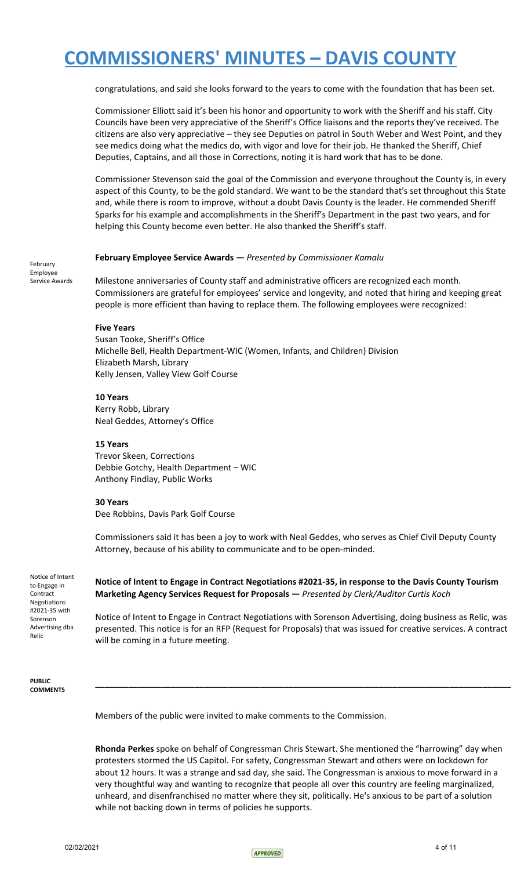congratulations, and said she looks forward to the years to come with the foundation that has been set.

Commissioner Elliott said it's been his honor and opportunity to work with the Sheriff and his staff. City Councils have been very appreciative of the Sheriff's Office liaisons and the reports they've received. The citizens are also very appreciative – they see Deputies on patrol in South Weber and West Point, and they see medics doing what the medics do, with vigor and love for their job. He thanked the Sheriff, Chief Deputies, Captains, and all those in Corrections, noting it is hard work that has to be done.

Commissioner Stevenson said the goal of the Commission and everyone throughout the County is, in every aspect of this County, to be the gold standard. We want to be the standard that's set throughout this State and, while there is room to improve, without a doubt Davis County is the leader. He commended Sheriff Sparks for his example and accomplishments in the Sheriff's Department in the past two years, and for helping this County become even better. He also thanked the Sheriff's staff.

### **February Employee Service Awards —** *Presented by Commissioner Kamalu*

February Employee Service Awards

Milestone anniversaries of County staff and administrative officers are recognized each month. Commissioners are grateful for employees' service and longevity, and noted that hiring and keeping great people is more efficient than having to replace them. The following employees were recognized:

### **Five Years**

Susan Tooke, Sheriff's Office Michelle Bell, Health Department-WIC (Women, Infants, and Children) Division Elizabeth Marsh, Library Kelly Jensen, Valley View Golf Course

### **10 Years**

Kerry Robb, Library Neal Geddes, Attorney's Office

### **15 Years**

Trevor Skeen, Corrections Debbie Gotchy, Health Department – WIC Anthony Findlay, Public Works

### **30 Years**

Dee Robbins, Davis Park Golf Course

Commissioners said it has been a joy to work with Neal Geddes, who serves as Chief Civil Deputy County Attorney, because of his ability to communicate and to be open-minded.

Notice of Intent to Engage in Contract Negotiations #2021-35 with Sorenson Advertising dba Relic

**Notice of Intent to Engage in Contract Negotiations #2021-35, in response to the Davis County Tourism Marketing Agency Services Request for Proposals —** *Presented by Clerk/Auditor Curtis Koch*

Notice of Intent to Engage in Contract Negotiations with Sorenson Advertising, doing business as Relic, was presented. This notice is for an RFP (Request for Proposals) that was issued for creative services. A contract will be coming in a future meeting.

**\_\_\_\_\_\_\_\_\_\_\_\_\_\_\_\_\_\_\_\_\_\_\_\_\_\_\_\_\_\_\_\_\_\_\_\_\_\_\_\_\_\_\_\_\_\_\_\_\_\_\_\_\_\_\_\_\_\_\_\_\_\_\_\_\_\_\_\_\_\_\_\_\_\_\_\_\_\_\_\_\_\_\_\_\_\_\_\_**

**PUBLIC COMMENTS**

Members of the public were invited to make comments to the Commission.

**Rhonda Perkes** spoke on behalf of Congressman Chris Stewart. She mentioned the "harrowing" day when protesters stormed the US Capitol. For safety, Congressman Stewart and others were on lockdown for about 12 hours. It was a strange and sad day, she said. The Congressman is anxious to move forward in a very thoughtful way and wanting to recognize that people all over this country are feeling marginalized, unheard, and disenfranchised no matter where they sit, politically. He's anxious to be part of a solution while not backing down in terms of policies he supports.

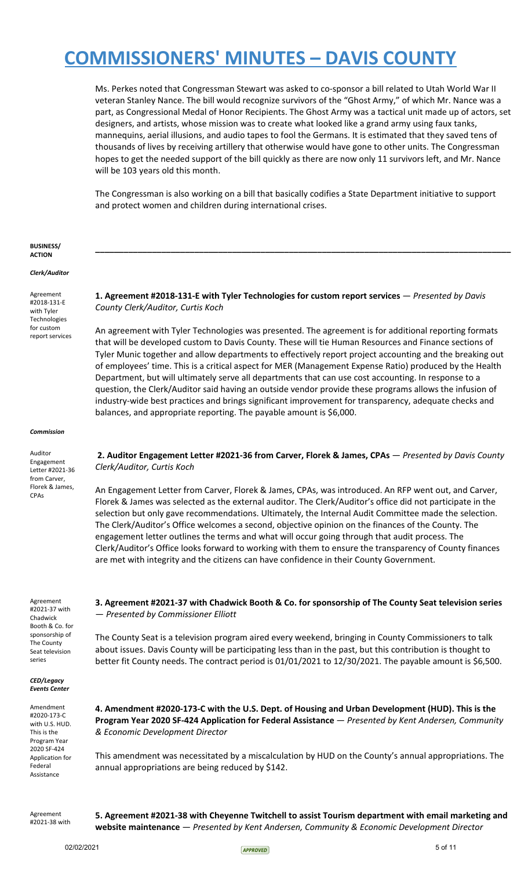Ms. Perkes noted that Congressman Stewart was asked to co-sponsor a bill related to Utah World War II veteran Stanley Nance. The bill would recognize survivors of the "Ghost Army," of which Mr. Nance was a part, as Congressional Medal of Honor Recipients. The Ghost Army was a tactical unit made up of actors, set designers, and artists, whose mission was to create what looked like a grand army using faux tanks, mannequins, aerial illusions, and audio tapes to fool the Germans. It is estimated that they saved tens of thousands of lives by receiving artillery that otherwise would have gone to other units. The Congressman hopes to get the needed support of the bill quickly as there are now only 11 survivors left, and Mr. Nance will be 103 years old this month.

The Congressman is also working on a bill that basically codifies a State Department initiative to support and protect women and children during international crises.

**\_\_\_\_\_\_\_\_\_\_\_\_\_\_\_\_\_\_\_\_\_\_\_\_\_\_\_\_\_\_\_\_\_\_\_\_\_\_\_\_\_\_\_\_\_\_\_\_\_\_\_\_\_\_\_\_\_\_\_\_\_\_\_\_\_\_\_\_\_\_\_\_\_\_\_\_\_\_\_\_\_\_\_\_\_\_\_\_**

**BUSINESS/ ACTION**

*Clerk/Auditor*

Agreement #2018-131-E with Tyler Technologies for custom report services **1. Agreement #2018-131-E with Tyler Technologies for custom report services** — *Presented by Davis County Clerk/Auditor, Curtis Koch*

An agreement with Tyler Technologies was presented. The agreement is for additional reporting formats that will be developed custom to Davis County. These will tie Human Resources and Finance sections of Tyler Munic together and allow departments to effectively report project accounting and the breaking out of employees' time. This is a critical aspect for MER (Management Expense Ratio) produced by the Health Department, but will ultimately serve all departments that can use cost accounting. In response to a question, the Clerk/Auditor said having an outside vendor provide these programs allows the infusion of industry-wide best practices and brings significant improvement for transparency, adequate checks and balances, and appropriate reporting. The payable amount is \$6,000.

#### *Commission*

Auditor Engagement Letter #2021-36 from Carver, Florek & James, CPAs

**2. Auditor Engagement Letter #2021-36 from Carver, Florek & James, CPAs** — *Presented by Davis County Clerk/Auditor, Curtis Koch*

An Engagement Letter from Carver, Florek & James, CPAs, was introduced. An RFP went out, and Carver, Florek & James was selected as the external auditor. The Clerk/Auditor's office did not participate in the selection but only gave recommendations. Ultimately, the Internal Audit Committee made the selection. The Clerk/Auditor's Office welcomes a second, objective opinion on the finances of the County. The engagement letter outlines the terms and what will occur going through that audit process. The Clerk/Auditor's Office looks forward to working with them to ensure the transparency of County finances are met with integrity and the citizens can have confidence in their County Government.

Agreement #2021-37 with Chadwick Booth & Co. for sponsorship of The County Seat television series

*CED/Legacy Events Center*

Amendment #2020-173-C with U.S. HUD. This is the Program Year 2020 SF-424 Application for Federal Assistance

**3. Agreement #2021-37 with Chadwick Booth & Co. for sponsorship of The County Seat television series** — *Presented by Commissioner Elliott*

The County Seat is a television program aired every weekend, bringing in County Commissioners to talk about issues. Davis County will be participating less than in the past, but this contribution is thought to better fit County needs. The contract period is 01/01/2021 to 12/30/2021. The payable amount is \$6,500.

**4. Amendment #2020-173-C with the U.S. Dept. of Housing and Urban Development (HUD). This is the Program Year 2020 SF-424 Application for Federal Assistance** — *Presented by Kent Andersen, Community & Economic Development Director*

This amendment was necessitated by a miscalculation by HUD on the County's annual appropriations. The annual appropriations are being reduced by \$142.

Agreement #2021-38 with **5. Agreement #2021-38 with Cheyenne Twitchell to assist Tourism department with email marketing and website maintenance** — *Presented by Kent Andersen, Community & Economic Development Director*

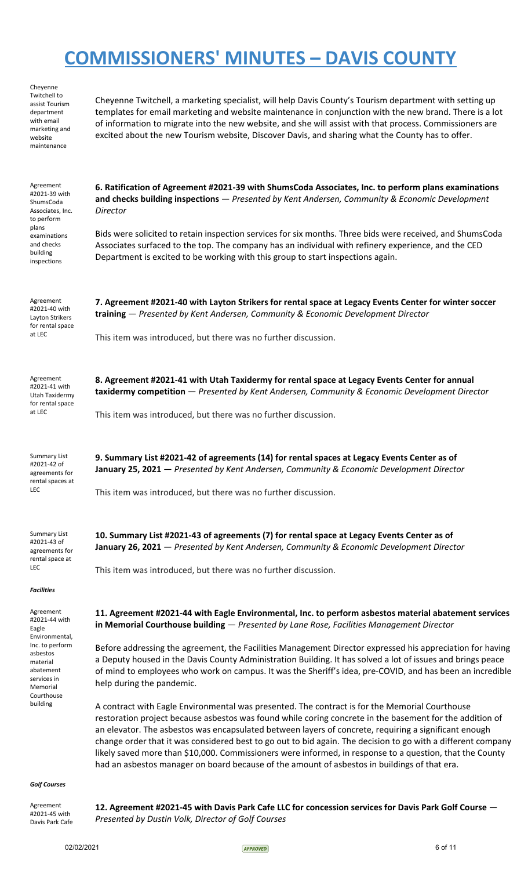| Cheyenne<br>Twitchell to<br>assist Tourism<br>department<br>with email<br>marketing and<br>website<br>maintenance                                                  | Cheyenne Twitchell, a marketing specialist, will help Davis County's Tourism department with setting up<br>templates for email marketing and website maintenance in conjunction with the new brand. There is a lot<br>of information to migrate into the new website, and she will assist with that process. Commissioners are<br>excited about the new Tourism website, Discover Davis, and sharing what the County has to offer.                                                                                                                                                                                                              |
|--------------------------------------------------------------------------------------------------------------------------------------------------------------------|-------------------------------------------------------------------------------------------------------------------------------------------------------------------------------------------------------------------------------------------------------------------------------------------------------------------------------------------------------------------------------------------------------------------------------------------------------------------------------------------------------------------------------------------------------------------------------------------------------------------------------------------------|
| Agreement<br>#2021-39 with<br>ShumsCoda<br>Associates, Inc.<br>to perform                                                                                          | 6. Ratification of Agreement #2021-39 with ShumsCoda Associates, Inc. to perform plans examinations<br>and checks building inspections - Presented by Kent Andersen, Community & Economic Development<br>Director                                                                                                                                                                                                                                                                                                                                                                                                                               |
| plans<br>examinations<br>and checks<br>building<br>inspections                                                                                                     | Bids were solicited to retain inspection services for six months. Three bids were received, and ShumsCoda<br>Associates surfaced to the top. The company has an individual with refinery experience, and the CED<br>Department is excited to be working with this group to start inspections again.                                                                                                                                                                                                                                                                                                                                             |
| Agreement<br>#2021-40 with<br>Layton Strikers<br>for rental space                                                                                                  | 7. Agreement #2021-40 with Layton Strikers for rental space at Legacy Events Center for winter soccer<br>training - Presented by Kent Andersen, Community & Economic Development Director                                                                                                                                                                                                                                                                                                                                                                                                                                                       |
| at LEC                                                                                                                                                             | This item was introduced, but there was no further discussion.                                                                                                                                                                                                                                                                                                                                                                                                                                                                                                                                                                                  |
| Agreement<br>#2021-41 with<br>Utah Taxidermy<br>for rental space<br>at LEC                                                                                         | 8. Agreement #2021-41 with Utah Taxidermy for rental space at Legacy Events Center for annual<br>taxidermy competition - Presented by Kent Andersen, Community & Economic Development Director                                                                                                                                                                                                                                                                                                                                                                                                                                                  |
|                                                                                                                                                                    | This item was introduced, but there was no further discussion.                                                                                                                                                                                                                                                                                                                                                                                                                                                                                                                                                                                  |
| Summary List<br>#2021-42 of<br>agreements for<br>rental spaces at<br><b>LEC</b>                                                                                    | 9. Summary List #2021-42 of agreements (14) for rental spaces at Legacy Events Center as of<br>January 25, 2021 - Presented by Kent Andersen, Community & Economic Development Director                                                                                                                                                                                                                                                                                                                                                                                                                                                         |
|                                                                                                                                                                    | This item was introduced, but there was no further discussion.                                                                                                                                                                                                                                                                                                                                                                                                                                                                                                                                                                                  |
| <b>Summary List</b><br>#2021-43 of<br>agreements for<br>rental space at<br><b>LEC</b>                                                                              | 10. Summary List #2021-43 of agreements (7) for rental space at Legacy Events Center as of<br>January 26, 2021 - Presented by Kent Andersen, Community & Economic Development Director                                                                                                                                                                                                                                                                                                                                                                                                                                                          |
| <b>Facilities</b>                                                                                                                                                  | This item was introduced, but there was no further discussion.                                                                                                                                                                                                                                                                                                                                                                                                                                                                                                                                                                                  |
| Agreement<br>#2021-44 with<br>Eagle<br>Environmental,<br>Inc. to perform<br>asbestos<br>material<br>abatement<br>services in<br>Memorial<br>Courthouse<br>building | 11. Agreement #2021-44 with Eagle Environmental, Inc. to perform asbestos material abatement services<br>in Memorial Courthouse building - Presented by Lane Rose, Facilities Management Director                                                                                                                                                                                                                                                                                                                                                                                                                                               |
|                                                                                                                                                                    | Before addressing the agreement, the Facilities Management Director expressed his appreciation for having<br>a Deputy housed in the Davis County Administration Building. It has solved a lot of issues and brings peace<br>of mind to employees who work on campus. It was the Sheriff's idea, pre-COVID, and has been an incredible<br>help during the pandemic.                                                                                                                                                                                                                                                                              |
|                                                                                                                                                                    | A contract with Eagle Environmental was presented. The contract is for the Memorial Courthouse<br>restoration project because asbestos was found while coring concrete in the basement for the addition of<br>an elevator. The asbestos was encapsulated between layers of concrete, requiring a significant enough<br>change order that it was considered best to go out to bid again. The decision to go with a different company<br>likely saved more than \$10,000. Commissioners were informed, in response to a question, that the County<br>had an asbestos manager on board because of the amount of asbestos in buildings of that era. |
| <b>Golf Courses</b>                                                                                                                                                |                                                                                                                                                                                                                                                                                                                                                                                                                                                                                                                                                                                                                                                 |
| Agreement<br>#2021-45 with                                                                                                                                         | 12. Agreement #2021-45 with Davis Park Cafe LLC for concession services for Davis Park Golf Course -                                                                                                                                                                                                                                                                                                                                                                                                                                                                                                                                            |

Davis Park Cafe *Presented by Dustin Volk, Director of Golf Courses*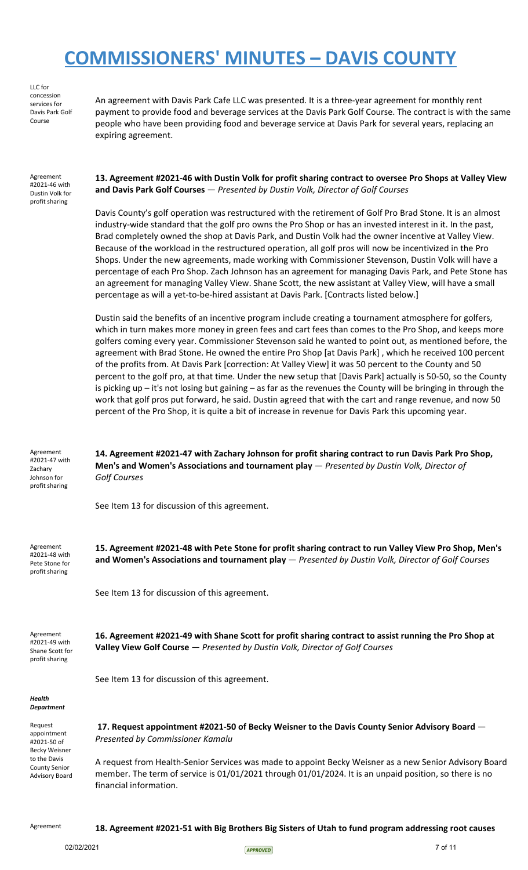LLC for concession services for Davis Park Golf Course

An agreement with Davis Park Cafe LLC was presented. It is a three-year agreement for monthly rent payment to provide food and beverage services at the Davis Park Golf Course. The contract is with the same people who have been providing food and beverage service at Davis Park for several years, replacing an expiring agreement.

Agreement #2021-46 with Dustin Volk for profit sharing

**13. Agreement #2021-46 with Dustin Volk for profit sharing contract to oversee Pro Shops at Valley View and Davis Park Golf Courses** — *Presented by Dustin Volk, Director of Golf Courses*

Davis County's golf operation was restructured with the retirement of Golf Pro Brad Stone. It is an almost industry-wide standard that the golf pro owns the Pro Shop or has an invested interest in it. In the past, Brad completely owned the shop at Davis Park, and Dustin Volk had the owner incentive at Valley View. Because of the workload in the restructured operation, all golf pros will now be incentivized in the Pro Shops. Under the new agreements, made working with Commissioner Stevenson, Dustin Volk will have a percentage of each Pro Shop. Zach Johnson has an agreement for managing Davis Park, and Pete Stone has an agreement for managing Valley View. Shane Scott, the new assistant at Valley View, will have a small percentage as will a yet-to-be-hired assistant at Davis Park. [Contracts listed below.]

Dustin said the benefits of an incentive program include creating a tournament atmosphere for golfers, which in turn makes more money in green fees and cart fees than comes to the Pro Shop, and keeps more golfers coming every year. Commissioner Stevenson said he wanted to point out, as mentioned before, the agreement with Brad Stone. He owned the entire Pro Shop [at Davis Park] , which he received 100 percent of the profits from. At Davis Park [correction: At Valley View] it was 50 percent to the County and 50 percent to the golf pro, at that time. Under the new setup that [Davis Park] actually is 50-50, so the County is picking up – it's not losing but gaining – as far as the revenues the County will be bringing in through the work that golf pros put forward, he said. Dustin agreed that with the cart and range revenue, and now 50 percent of the Pro Shop, it is quite a bit of increase in revenue for Davis Park this upcoming year.

Agreement #2021-47 with Zachary Johnson for profit sharing

**14. Agreement #2021-47 with Zachary Johnson for profit sharing contract to run Davis Park Pro Shop, Men's and Women's Associations and tournament play** — *Presented by Dustin Volk, Director of Golf Courses*

See Item 13 for discussion of this agreement.

Agreement #2021-48 with Pete Stone for profit sharing

**15. Agreement #2021-48 with Pete Stone for profit sharing contract to run Valley View Pro Shop, Men's and Women's Associations and tournament play** — *Presented by Dustin Volk, Director of Golf Courses*

See Item 13 for discussion of this agreement.

Agreement #2021-49 with Shane Scott for profit sharing

**16. Agreement #2021-49 with Shane Scott for profit sharing contract to assist running the Pro Shop at Valley View Golf Course** — *Presented by Dustin Volk, Director of Golf Courses*

See Item 13 for discussion of this agreement.

#### *Health Department*

| Request<br>appointment<br>#2021-50 of<br>Becky Weisner<br>to the Davis<br>County Senior<br>Advisory Board | 17. Request appointment #2021-50 of Becky Weisner to the Davis County Senior Advisory Board –<br>Presented by Commissioner Kamalu                                                                                                          |
|-----------------------------------------------------------------------------------------------------------|--------------------------------------------------------------------------------------------------------------------------------------------------------------------------------------------------------------------------------------------|
|                                                                                                           | A request from Health-Senior Services was made to appoint Becky Weisner as a new Senior Advisory Board<br>member. The term of service is 01/01/2021 through 01/01/2024. It is an unpaid position, so there is no<br>financial information. |

Agreement **18. Agreement #2021-51 with Big Brothers Big Sisters of Utah to fund program addressing root causes**

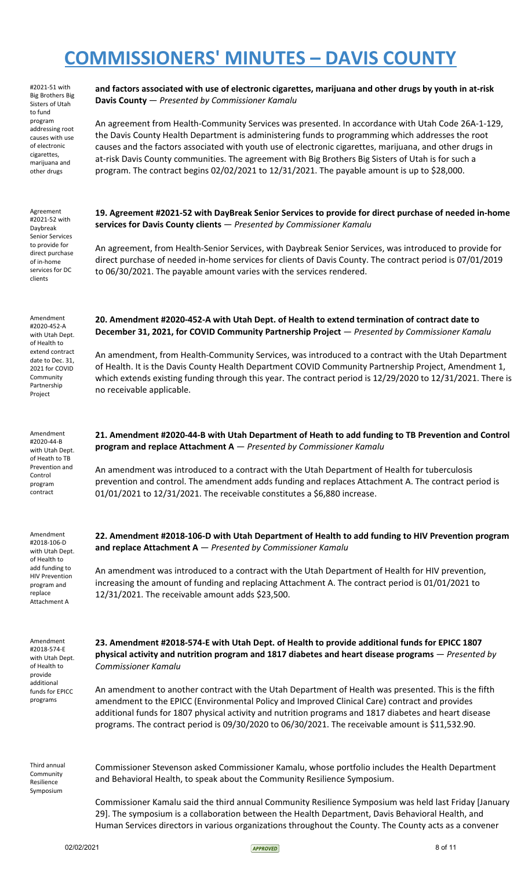#2021-51 with Big Brothers Big Sisters of Utah to fund program addressing root causes with use of electronic cigarettes, marijuana and other drugs

Agreement #2021-52 with Daybreak Senior Services to provide for direct purchase of in-home services for DC clients

Amendment #2020-452-A with Utah Dept. of Health to extend contract date to Dec. 31, 2021 for COVID Community Partnership Project

Amendment #2020-44-B with Utah Dept. of Heath to TB Prevention and Control program contract

Amendment #2018-106-D with Utah Dept. of Health to add funding to HIV Prevention program and replace Attachment A

Amendment #2018-574-E with Utah Dept. of Health to provide additional funds for EPICC programs

Third annual **Community** Resilience Symposium

**and factors associated with use of electronic cigarettes, marijuana and other drugs by youth in at-risk Davis County** — *Presented by Commissioner Kamalu*

An agreement from Health-Community Services was presented. In accordance with Utah Code 26A-1-129, the Davis County Health Department is administering funds to programming which addresses the root causes and the factors associated with youth use of electronic cigarettes, marijuana, and other drugs in at-risk Davis County communities. The agreement with Big Brothers Big Sisters of Utah is for such a program. The contract begins 02/02/2021 to 12/31/2021. The payable amount is up to \$28,000.

**19. Agreement #2021-52 with DayBreak Senior Services to provide for direct purchase of needed in-home services for Davis County clients** — *Presented by Commissioner Kamalu*

An agreement, from Health-Senior Services, with Daybreak Senior Services, was introduced to provide for direct purchase of needed in-home services for clients of Davis County. The contract period is 07/01/2019 to 06/30/2021. The payable amount varies with the services rendered.

**20. Amendment #2020-452-A with Utah Dept. of Health to extend termination of contract date to December 31, 2021, for COVID Community Partnership Project** — *Presented by Commissioner Kamalu*

An amendment, from Health-Community Services, was introduced to a contract with the Utah Department of Health. It is the Davis County Health Department COVID Community Partnership Project, Amendment 1, which extends existing funding through this year. The contract period is 12/29/2020 to 12/31/2021. There is no receivable applicable.

**21. Amendment #2020-44-B with Utah Department of Heath to add funding to TB Prevention and Control program and replace Attachment A** — *Presented by Commissioner Kamalu*

An amendment was introduced to a contract with the Utah Department of Health for tuberculosis prevention and control. The amendment adds funding and replaces Attachment A. The contract period is 01/01/2021 to 12/31/2021. The receivable constitutes a \$6,880 increase.

**22. Amendment #2018-106-D with Utah Department of Health to add funding to HIV Prevention program and replace Attachment A** — *Presented by Commissioner Kamalu*

An amendment was introduced to a contract with the Utah Department of Health for HIV prevention, increasing the amount of funding and replacing Attachment A. The contract period is 01/01/2021 to 12/31/2021. The receivable amount adds \$23,500.

**23. Amendment #2018-574-E with Utah Dept. of Health to provide additional funds for EPICC 1807 physical activity and nutrition program and 1817 diabetes and heart disease programs** — *Presented by Commissioner Kamalu*

An amendment to another contract with the Utah Department of Health was presented. This is the fifth amendment to the EPICC (Environmental Policy and Improved Clinical Care) contract and provides additional funds for 1807 physical activity and nutrition programs and 1817 diabetes and heart disease programs. The contract period is 09/30/2020 to 06/30/2021. The receivable amount is \$11,532.90.

Commissioner Stevenson asked Commissioner Kamalu, whose portfolio includes the Health Department and Behavioral Health, to speak about the Community Resilience Symposium.

Commissioner Kamalu said the third annual Community Resilience Symposium was held last Friday [January 29]. The symposium is a collaboration between the Health Department, Davis Behavioral Health, and Human Services directors in various organizations throughout the County. The County acts as a convener

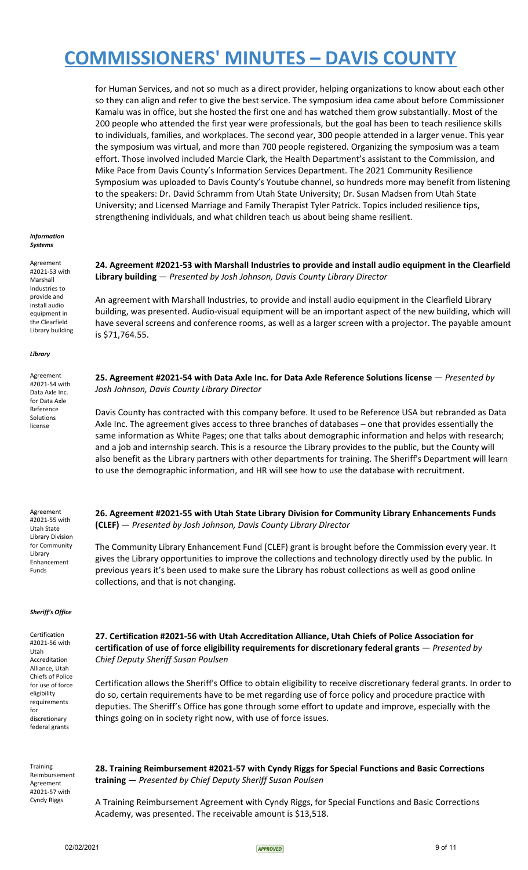for Human Services, and not so much as a direct provider, helping organizations to know about each other so they can align and refer to give the best service. The symposium idea came about before Commissioner Kamalu was in office, but she hosted the first one and has watched them grow substantially. Most of the 200 people who attended the first year were professionals, but the goal has been to teach resilience skills to individuals, families, and workplaces. The second year, 300 people attended in a larger venue. This year the symposium was virtual, and more than 700 people registered. Organizing the symposium was a team effort. Those involved included Marcie Clark, the Health Department's assistant to the Commission, and Mike Pace from Davis County's Information Services Department. The 2021 Community Resilience Symposium was uploaded to Davis County's Youtube channel, so hundreds more may benefit from listening to the speakers: Dr. David Schramm from Utah State University; Dr. Susan Madsen from Utah State University; and Licensed Marriage and Family Therapist Tyler Patrick. Topics included resilience tips, strengthening individuals, and what children teach us about being shame resilient.

#### *Information Systems*

Agreement #2021-53 with Marshall Industries to provide and install audio equipment in the Clearfield Library building

### *Library*

Agreement #2021-54 with Data Axle Inc. for Data Axle Reference Solutions license

Agreement #2021-55 with Utah State Library Division for Community Library Enhancement Funds

### *Sheriff's Office*

Certification #2021-56 with Utah Accreditation Alliance, Utah Chiefs of Police for use of force eligibility requirements for discretionary federal grants

**24. Agreement #2021-53 with Marshall Industries to provide and install audio equipment in the Clearfield Library building** — *Presented by Josh Johnson, Davis County Library Director*

An agreement with Marshall Industries, to provide and install audio equipment in the Clearfield Library building, was presented. Audio-visual equipment will be an important aspect of the new building, which will have several screens and conference rooms, as well as a larger screen with a projector. The payable amount is \$71,764.55.

**25. Agreement #2021-54 with Data Axle Inc. for Data Axle Reference Solutions license** — *Presented by Josh Johnson, Davis County Library Director*

Davis County has contracted with this company before. It used to be Reference USA but rebranded as Data Axle Inc. The agreement gives access to three branches of databases – one that provides essentially the same information as White Pages; one that talks about demographic information and helps with research; and a job and internship search. This is a resource the Library provides to the public, but the County will also benefit as the Library partners with other departments for training. The Sheriff's Department will learn to use the demographic information, and HR will see how to use the database with recruitment.

**26. Agreement #2021-55 with Utah State Library Division for Community Library Enhancements Funds (CLEF)** — *Presented by Josh Johnson, Davis County Library Director*

The Community Library Enhancement Fund (CLEF) grant is brought before the Commission every year. It gives the Library opportunities to improve the collections and technology directly used by the public. In previous years it's been used to make sure the Library has robust collections as well as good online collections, and that is not changing.

**27. Certification #2021-56 with Utah Accreditation Alliance, Utah Chiefs of Police Association for certification of use of force eligibility requirements for discretionary federal grants** — *Presented by Chief Deputy Sheriff Susan Poulsen*

Certification allows the Sheriff's Office to obtain eligibility to receive discretionary federal grants. In order to do so, certain requirements have to be met regarding use of force policy and procedure practice with deputies. The Sheriff's Office has gone through some effort to update and improve, especially with the things going on in society right now, with use of force issues.

**Training** Reimbursement Agreement #2021-57 with Cyndy Riggs

**28. Training Reimbursement #2021-57 with Cyndy Riggs for Special Functions and Basic Corrections training** — *Presented by Chief Deputy Sheriff Susan Poulsen*

A Training Reimbursement Agreement with Cyndy Riggs, for Special Functions and Basic Corrections Academy, was presented. The receivable amount is \$13,518.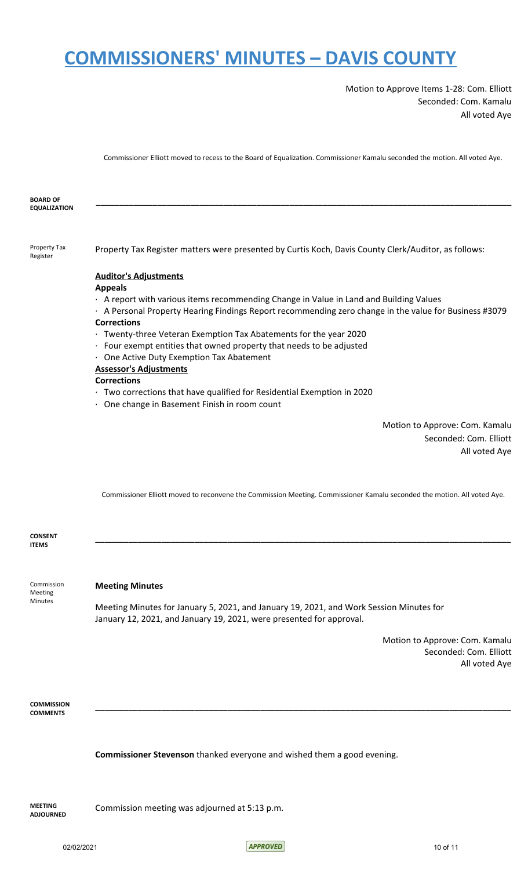Motion to Approve Items 1-28: Com. Elliott Seconded: Com. Kamalu All voted Aye

Commissioner Elliott moved to recess to the Board of Equalization. Commissioner Kamalu seconded the motion. All voted Aye.

| Property Tax<br>Property Tax Register matters were presented by Curtis Koch, Davis County Clerk/Auditor, as follows:<br>Register<br><b>Auditor's Adjustments</b><br><b>Appeals</b><br>A report with various items recommending Change in Value in Land and Building Values<br>A Personal Property Hearing Findings Report recommending zero change in the value for Business #3079<br><b>Corrections</b><br>· Twenty-three Veteran Exemption Tax Abatements for the year 2020<br>· Four exempt entities that owned property that needs to be adjusted | <b>BOARD OF</b><br><b>EQUALIZATION</b> |  |
|-------------------------------------------------------------------------------------------------------------------------------------------------------------------------------------------------------------------------------------------------------------------------------------------------------------------------------------------------------------------------------------------------------------------------------------------------------------------------------------------------------------------------------------------------------|----------------------------------------|--|
|                                                                                                                                                                                                                                                                                                                                                                                                                                                                                                                                                       |                                        |  |
|                                                                                                                                                                                                                                                                                                                                                                                                                                                                                                                                                       |                                        |  |
|                                                                                                                                                                                                                                                                                                                                                                                                                                                                                                                                                       |                                        |  |
|                                                                                                                                                                                                                                                                                                                                                                                                                                                                                                                                                       |                                        |  |
|                                                                                                                                                                                                                                                                                                                                                                                                                                                                                                                                                       |                                        |  |
|                                                                                                                                                                                                                                                                                                                                                                                                                                                                                                                                                       |                                        |  |
|                                                                                                                                                                                                                                                                                                                                                                                                                                                                                                                                                       |                                        |  |
|                                                                                                                                                                                                                                                                                                                                                                                                                                                                                                                                                       |                                        |  |
| · One Active Duty Exemption Tax Abatement                                                                                                                                                                                                                                                                                                                                                                                                                                                                                                             |                                        |  |
| <b>Assessor's Adjustments</b>                                                                                                                                                                                                                                                                                                                                                                                                                                                                                                                         |                                        |  |
| <b>Corrections</b>                                                                                                                                                                                                                                                                                                                                                                                                                                                                                                                                    |                                        |  |
| Two corrections that have qualified for Residential Exemption in 2020                                                                                                                                                                                                                                                                                                                                                                                                                                                                                 |                                        |  |
| One change in Basement Finish in room count                                                                                                                                                                                                                                                                                                                                                                                                                                                                                                           |                                        |  |
| Motion to Approve: Com. Kamalu                                                                                                                                                                                                                                                                                                                                                                                                                                                                                                                        |                                        |  |
| Seconded: Com. Elliott                                                                                                                                                                                                                                                                                                                                                                                                                                                                                                                                |                                        |  |
| All voted Aye                                                                                                                                                                                                                                                                                                                                                                                                                                                                                                                                         |                                        |  |
|                                                                                                                                                                                                                                                                                                                                                                                                                                                                                                                                                       |                                        |  |
|                                                                                                                                                                                                                                                                                                                                                                                                                                                                                                                                                       |                                        |  |

Commissioner Elliott moved to reconvene the Commission Meeting. Commissioner Kamalu seconded the motion. All voted Aye.

**\_\_\_\_\_\_\_\_\_\_\_\_\_\_\_\_\_\_\_\_\_\_\_\_\_\_\_\_\_\_\_\_\_\_\_\_\_\_\_\_\_\_\_\_\_\_\_\_\_\_\_\_\_\_\_\_\_\_\_\_\_\_\_\_\_\_\_\_\_\_\_\_\_\_\_\_\_\_\_\_\_\_\_\_\_\_\_\_**

**\_\_\_\_\_\_\_\_\_\_\_\_\_\_\_\_\_\_\_\_\_\_\_\_\_\_\_\_\_\_\_\_\_\_\_\_\_\_\_\_\_\_\_\_\_\_\_\_\_\_\_\_\_\_\_\_\_\_\_\_\_\_\_\_\_\_\_\_\_\_\_\_\_\_\_\_\_\_\_\_\_\_\_\_\_\_\_\_**

**CONSENT ITEMS**

Commission Meeting Minutes

### **Meeting Minutes**

Meeting Minutes for January 5, 2021, and January 19, 2021, and Work Session Minutes for January 12, 2021, and January 19, 2021, were presented for approval.

> Motion to Approve: Com. Kamalu Seconded: Com. Elliott All voted Aye

**COMMISSION COMMENTS**

**Commissioner Stevenson** thanked everyone and wished them a good evening.

**MEETING ADJOURNED**

Commission meeting was adjourned at 5:13 p.m.